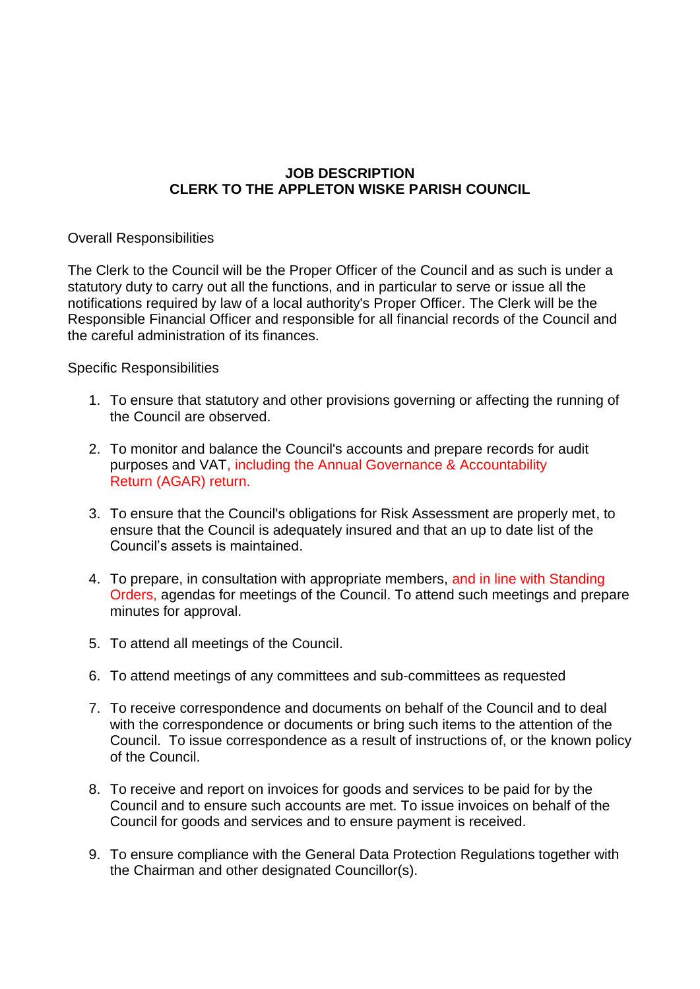## **JOB DESCRIPTION CLERK TO THE APPLETON WISKE PARISH COUNCIL**

## Overall Responsibilities

The Clerk to the Council will be the Proper Officer of the Council and as such is under a statutory duty to carry out all the functions, and in particular to serve or issue all the notifications required by law of a local authority's Proper Officer. The Clerk will be the Responsible Financial Officer and responsible for all financial records of the Council and the careful administration of its finances.

## Specific Responsibilities

- 1. To ensure that statutory and other provisions governing or affecting the running of the Council are observed.
- 2. To monitor and balance the Council's accounts and prepare records for audit purposes and VAT, including the Annual Governance & Accountability Return (AGAR) return.
- 3. To ensure that the Council's obligations for Risk Assessment are properly met, to ensure that the Council is adequately insured and that an up to date list of the Council's assets is maintained.
- 4. To prepare, in consultation with appropriate members, and in line with Standing Orders, agendas for meetings of the Council. To attend such meetings and prepare minutes for approval.
- 5. To attend all meetings of the Council.
- 6. To attend meetings of any committees and sub-committees as requested
- 7. To receive correspondence and documents on behalf of the Council and to deal with the correspondence or documents or bring such items to the attention of the Council. To issue correspondence as a result of instructions of, or the known policy of the Council.
- 8. To receive and report on invoices for goods and services to be paid for by the Council and to ensure such accounts are met. To issue invoices on behalf of the Council for goods and services and to ensure payment is received.
- 9. To ensure compliance with the General Data Protection Regulations together with the Chairman and other designated Councillor(s).